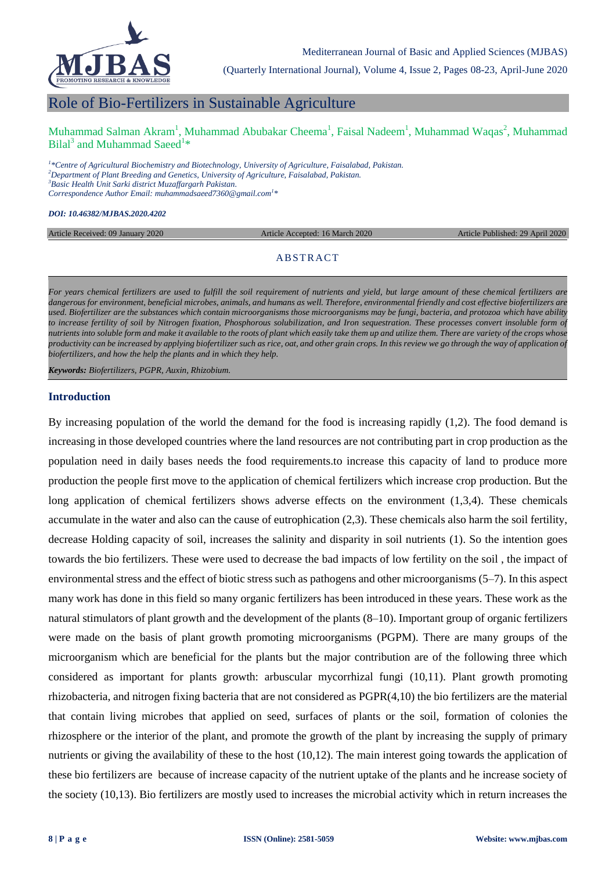

(Quarterly International Journal), Volume 4, Issue 2, Pages 08-23, April-June 2020

# Role of Bio-Fertilizers in Sustainable Agriculture

Muhammad Salman Akram<sup>1</sup>, Muhammad Abubakar Cheema<sup>1</sup>, Faisal Nadeem<sup>1</sup>, Muhammad Waqas<sup>2</sup>, Muhammad Bilal<sup>3</sup> and Muhammad Saeed<sup>1\*</sup>

 *\*Centre of Agricultural Biochemistry and Biotechnology, University of Agriculture, Faisalabad, Pakistan. Department of Plant Breeding and Genetics, University of Agriculture, Faisalabad, Pakistan. Basic Health Unit Sarki district Muzaffargarh Pakistan. Correspondence Author Email: muhammadsaeed7360@gmail.com<sup>1</sup> \**

*DOI: 10.46382/MJBAS.2020.4202*

Article Received: 09 January 2020 Article Accepted: 16 March 2020 Article Published: 29 April 2020

# **ABSTRACT**

For years chemical fertilizers are used to fulfill the soil requirement of nutrients and yield, but large amount of these chemical fertilizers are *dangerous for environment, beneficial microbes, animals, and humans as well. Therefore, environmental friendly and cost effective biofertilizers are used. Biofertilizer are the substances which contain microorganisms those microorganisms may be fungi, bacteria, and protozoa which have ability to increase fertility of soil by Nitrogen fixation, Phosphorous solubilization, and Iron sequestration. These processes convert insoluble form of nutrients into soluble form and make it available to the roots of plant which easily take them up and utilize them. There are variety of the crops whose productivity can be increased by applying biofertilizer such as rice, oat, and other grain crops. In this review we go through the way of application of biofertilizers, and how the help the plants and in which they help.*

*Keywords: Biofertilizers, PGPR, Auxin, Rhizobium.* 

#### **Introduction**

By increasing population of the world the demand for the food is increasing rapidly (1,2). The food demand is increasing in those developed countries where the land resources are not contributing part in crop production as the population need in daily bases needs the food requirements.to increase this capacity of land to produce more production the people first move to the application of chemical fertilizers which increase crop production. But the long application of chemical fertilizers shows adverse effects on the environment  $(1,3,4)$ . These chemicals accumulate in the water and also can the cause of eutrophication (2,3). These chemicals also harm the soil fertility, decrease Holding capacity of soil, increases the salinity and disparity in soil nutrients (1). So the intention goes towards the bio fertilizers. These were used to decrease the bad impacts of low fertility on the soil , the impact of environmental stress and the effect of biotic stress such as pathogens and other microorganisms (5–7). In this aspect many work has done in this field so many organic fertilizers has been introduced in these years. These work as the natural stimulators of plant growth and the development of the plants (8–10). [Important](mailto:10.1100@2012@491206).%20imoprtant) group of organic fertilizers were made on the basis of plant growth promoting microorganisms (PGPM). There are many groups of the microorganism which are beneficial for the plants but the major contribution are of the following three which considered as important for plants growth: arbuscular mycorrhizal fungi (10,11). Plant growth promoting rhizobacteria, and nitrogen fixing bacteria that are not considered as PGPR(4,10) [the](mailto:10.1100@2012@491206).the) bio fertilizers are the material that contain living microbes that applied on seed, surfaces of plants or the soil, formation of colonies the rhizosphere or the interior of the plant, and promote the growth of the plant by increasing the supply of primary nutrients or giving the availability of these to the host (10,12). The main interest going towards the application of these bio fertilizers are because of increase capacity of the nutrient uptake of the plants and he increase society of the society (10,13). Bio fertilizers are mostly used to increases the microbial activity which in return increases the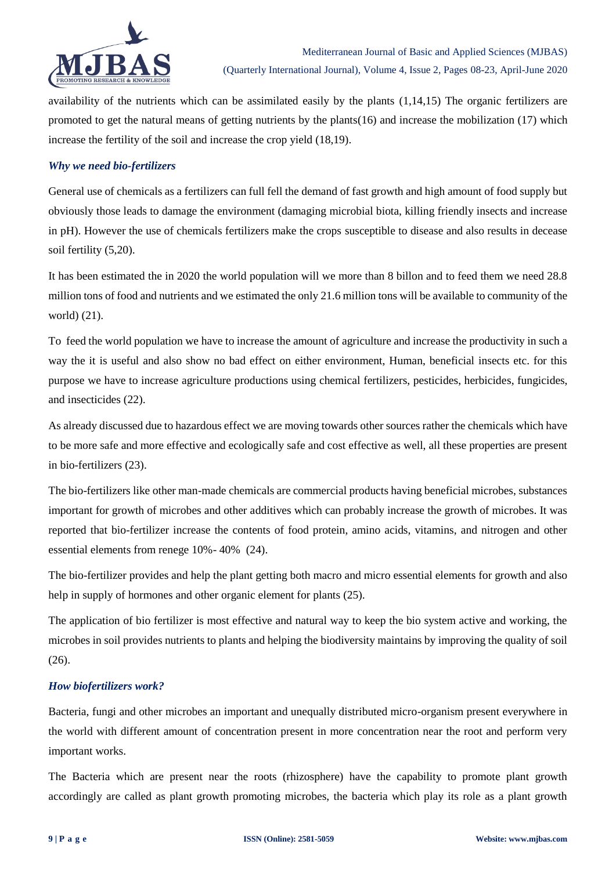

availability of the nutrients which can be assimilated easily by the plants (1,14,15) The organic fertilizers are promoted to get the natural means of getting nutrients by the plants(16) and increase the mobilization (17) which increase the fertility of the soil and increase the crop yield (18,19).

# *Why we need bio-fertilizers*

General use of chemicals as a fertilizers can full fell the demand of fast growth and high amount of food supply but obviously those leads to damage the environment (damaging microbial biota, killing friendly insects and increase in pH). However the use of chemicals fertilizers make the crops susceptible to disease and also results in decease soil fertility (5,20).

It has been estimated the in 2020 the world population will we more than 8 billon and to feed them we need 28.8 million tons of food and nutrients and we estimated the only 21.6 million tons will be available to community of the world) (21).

To feed the world population we have to increase the amount of agriculture and increase the productivity in such a way the it is useful and also show no bad effect on either environment, Human, beneficial insects etc. for this purpose we have to increase agriculture productions using chemical fertilizers, pesticides, herbicides, fungicides, and insecticides (22).

As already discussed due to hazardous effect we are moving towards other sources rather the chemicals which have to be more safe and more effective and ecologically safe and cost effective as well, all these properties are present in bio-fertilizers (23).

The bio-fertilizers like other man-made chemicals are commercial products having beneficial microbes, substances important for growth of microbes and other additives which can probably increase the growth of microbes. It was reported that bio-fertilizer increase the contents of food protein, amino acids, vitamins, and nitrogen and other essential elements from renege 10%- 40% (24).

The bio-fertilizer provides and help the plant getting both macro and micro essential elements for growth and also help in supply of hormones and other organic element for plants (25).

The application of bio fertilizer is most effective and natural way to keep the bio system active and working, the microbes in soil provides nutrients to plants and helping the biodiversity maintains by improving the quality of soil (26).

# *How biofertilizers work?*

Bacteria, fungi and other microbes an important and unequally distributed micro-organism present everywhere in the world with different amount of concentration present in more concentration near the root and perform very important works.

The Bacteria which are present near the roots (rhizosphere) have the capability to promote plant growth accordingly are called as plant growth promoting microbes, the bacteria which play its role as a plant growth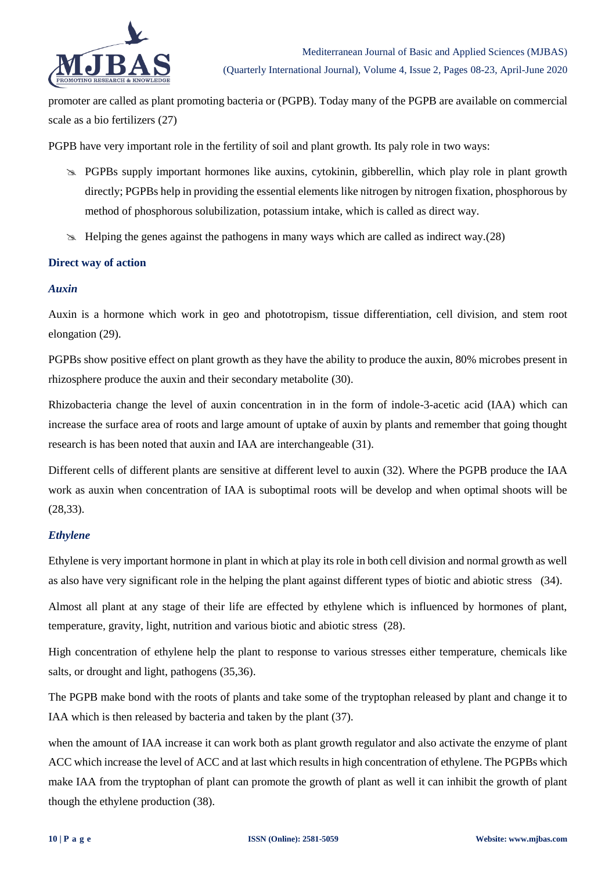

promoter are called as plant promoting bacteria or (PGPB). Today many of the PGPB are available on commercial scale as a bio fertilizers (27)

PGPB have very important role in the fertility of soil and plant growth. Its paly role in two ways:

- **EX** PGPBs supply important hormones like auxins, cytokinin, gibberellin, which play role in plant growth directly; PGPBs help in providing the essential elements like nitrogen by nitrogen fixation, phosphorous by method of phosphorous solubilization, potassium intake, which is called as direct way.
- $\gg$  Helping the genes against the pathogens in many ways which are called as indirect way.(28)

# **Direct way of action**

# *Auxin*

Auxin is a hormone which work in geo and phototropism, tissue differentiation, cell division, and stem root elongation (29).

PGPBs show positive effect on plant growth as they have the ability to produce the auxin, 80% microbes present in rhizosphere produce the auxin and their secondary metabolite (30).

Rhizobacteria change the level of auxin concentration in in the form of indole-3-acetic acid (IAA) which can increase the surface area of roots and large amount of uptake of auxin by plants and remember that going thought research is has been noted that auxin and IAA are interchangeable (31).

Different cells of different plants are sensitive at different level to auxin (32). Where the PGPB produce the IAA work as auxin when concentration of IAA is suboptimal roots will be develop and when optimal shoots will be (28,33).

# *Ethylene*

Ethylene is very important hormone in plant in which at play its role in both cell division and normal growth as well as also have very significant role in the helping the plant against different types of biotic and abiotic stress (34).

Almost all plant at any stage of their life are effected by ethylene which is influenced by hormones of plant, temperature, gravity, light, nutrition and various biotic and abiotic stress (28).

High concentration of ethylene help the plant to response to various stresses either temperature, chemicals like salts, or drought and light, pathogens (35,36).

The PGPB make bond with the roots of plants and take some of the tryptophan released by plant and change it to IAA which is then released by bacteria and taken by the plant (37).

when the amount of IAA increase it can work both as plant growth regulator and also activate the enzyme of plant ACC which increase the level of ACC and at last which results in high concentration of ethylene. The PGPBs which make IAA from the tryptophan of plant can promote the growth of plant as well it can inhibit the growth of plant though the ethylene production (38).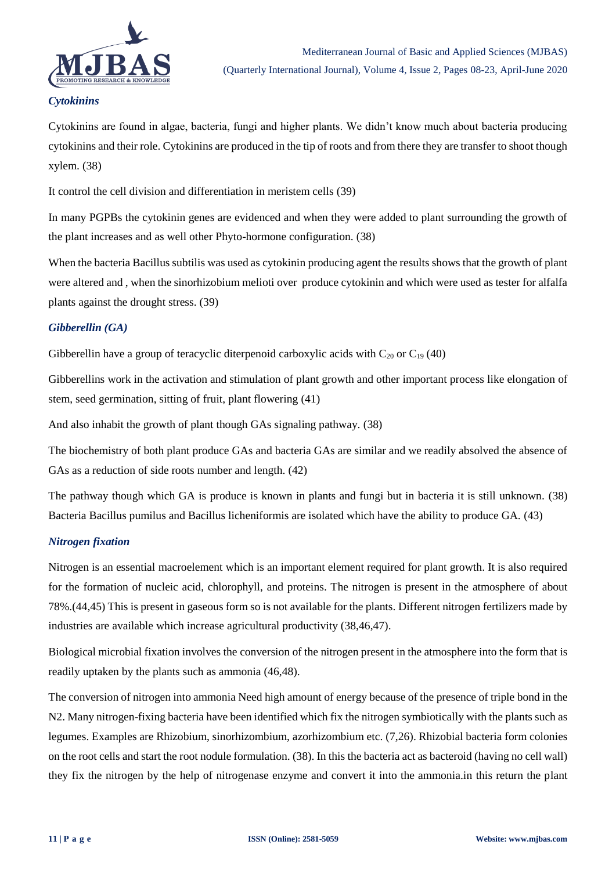

# *Cytokinins*

Cytokinins are found in algae, bacteria, fungi and higher plants. We didn"t know much about bacteria producing cytokinins and their role. Cytokinins are produced in the tip of roots and from there they are transfer to shoot though xylem. (38)

It control the cell division and differentiation in meristem cells (39)

In many PGPBs the cytokinin genes are evidenced and when they were added to plant surrounding the growth of the plant increases and as well other Phyto-hormone configuration. (38)

When the bacteria Bacillus subtilis was used as cytokinin producing agent the results shows that the growth of plant were altered and , when the sinorhizobium melioti over produce cytokinin and which were used as tester for alfalfa plants against the drought stress. (39)

# *Gibberellin (GA)*

Gibberellin have a group of teracyclic diterpenoid carboxylic acids with  $C_{20}$  or  $C_{19}$  (40)

Gibberellins work in the activation and stimulation of plant growth and other important process like elongation of stem, seed germination, sitting of fruit, plant flowering (41)

And also inhabit the growth of plant though GAs signaling pathway. (38)

The biochemistry of both plant produce GAs and bacteria GAs are similar and we readily absolved the absence of GAs as a reduction of side roots number and length. (42)

The pathway though which GA is produce is known in plants and fungi but in bacteria it is still unknown. (38) Bacteria Bacillus pumilus and Bacillus licheniformis are isolated which have the ability to produce GA. (43)

# *Nitrogen fixation*

Nitrogen is an essential macroelement which is an important element required for plant growth. It is also required for the formation of nucleic acid, chlorophyll, and proteins. The nitrogen is present in the atmosphere of about 78%.(44,45) This is present in gaseous form so is not available for the plants. Different nitrogen fertilizers made by industries are available which increase agricultural productivity (38,46,47).

Biological microbial fixation involves the conversion of the nitrogen present in the atmosphere into the form that is readily uptaken by the plants such as ammonia (46,48).

The conversion of nitrogen into ammonia Need high amount of energy because of the presence of triple bond in the N2. Many nitrogen-fixing bacteria have been identified which fix the nitrogen symbiotically with the plants such as legumes. Examples are Rhizobium, sinorhizombium, azorhizombium etc. (7,26). Rhizobial bacteria form colonies on the root cells and start the root nodule formulation. (38). In this the bacteria act as bacteroid (having no cell wall) they fix the nitrogen by the help of nitrogenase enzyme and convert it into the ammonia.in this return the plant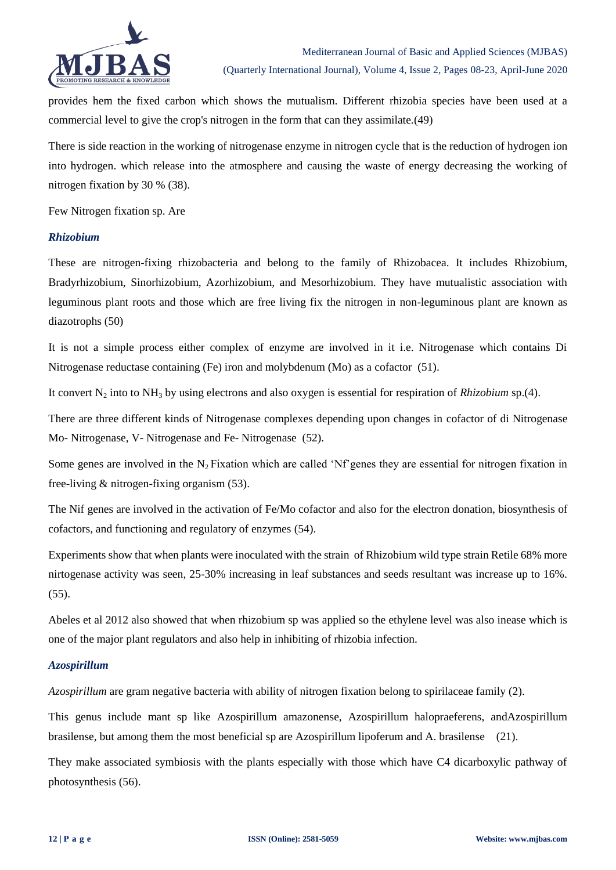

provides hem the fixed carbon which shows the mutualism. Different rhizobia species have been used at a commercial level to give the crop's nitrogen in the form that can they assimilate.(49)

There is side reaction in the working of nitrogenase enzyme in nitrogen cycle that is the reduction of hydrogen ion into hydrogen. which release into the atmosphere and causing the waste of energy decreasing the working of nitrogen fixation by 30 % (38).

Few Nitrogen fixation sp. Are

# *Rhizobium*

These are nitrogen-fixing rhizobacteria and belong to the family of Rhizobacea. It includes Rhizobium, Bradyrhizobium, Sinorhizobium, Azorhizobium, and Mesorhizobium. They have mutualistic association with leguminous plant roots and those which are free living fix the nitrogen in non-leguminous plant are known as diazotrophs (50)

It is not a simple process either complex of enzyme are involved in it i.e. Nitrogenase which contains Di Nitrogenase reductase containing (Fe) iron and molybdenum (Mo) as a cofactor (51).

It convert N<sub>2</sub> into to NH<sub>3</sub> by using electrons and also oxygen is essential for respiration of *Rhizobium* sp.(4).

There are three different kinds of Nitrogenase complexes depending upon changes in cofactor of di Nitrogenase Mo- Nitrogenase, V- Nitrogenase and Fe- Nitrogenase (52).

Some genes are involved in the  $N_2$  Fixation which are called 'Nf'genes they are essential for nitrogen fixation in free-living & nitrogen-fixing organism (53).

The Nif genes are involved in the activation of Fe/Mo cofactor and also for the electron donation, biosynthesis of cofactors, and functioning and regulatory of enzymes (54).

Experiments show that when plants were inoculated with the strain of Rhizobium wild type strain Retile 68% more nirtogenase activity was seen, 25-30% increasing in leaf substances and seeds resultant was increase up to 16%. (55).

Abeles et al 2012 also showed that when rhizobium sp was applied so the ethylene level was also inease which is one of the major plant regulators and also help in inhibiting of rhizobia infection.

# *Azospirillum*

*Azospirillum* are gram negative bacteria with ability of nitrogen fixation belong to spirilaceae family (2).

This genus include mant sp like Azospirillum amazonense, Azospirillum halopraeferens, andAzospirillum brasilense, but among them the most beneficial sp are Azospirillum lipoferum and A. brasilense (21).

They make associated symbiosis with the plants especially with those which have C4 dicarboxylic pathway of photosynthesis (56).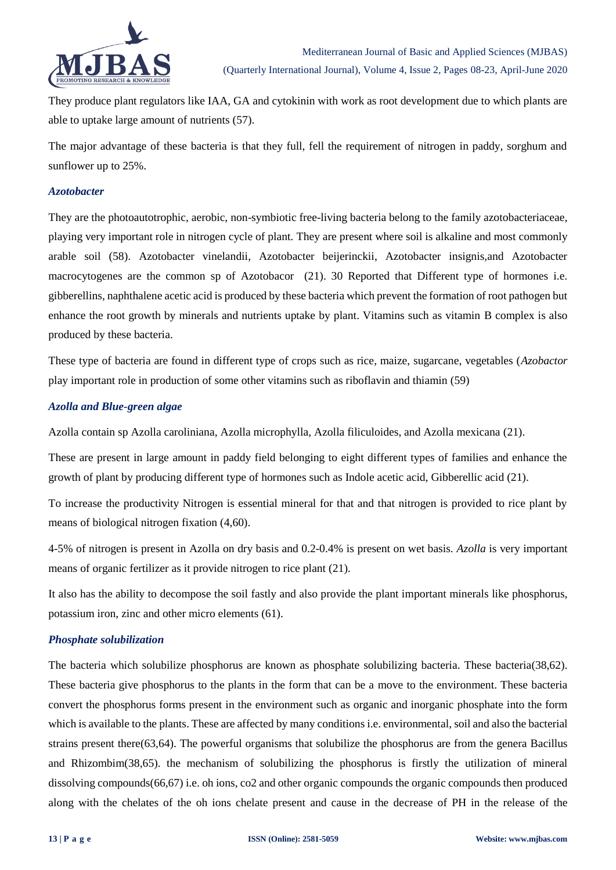

They produce plant regulators like IAA, GA and cytokinin with work as root development due to which plants are able to uptake large amount of nutrients (57).

The major advantage of these bacteria is that they full, fell the requirement of nitrogen in paddy, sorghum and sunflower up to 25%.

#### *Azotobacter*

They are the photoautotrophic, aerobic, non-symbiotic free-living bacteria belong to the family azotobacteriaceae, playing very important role in nitrogen cycle of plant. They are present where soil is alkaline and most commonly arable soil (58). Azotobacter vinelandii, Azotobacter beijerinckii, Azotobacter insignis,and Azotobacter macrocytogenes are the common sp of Azotobacor (21). 30 Reported that Different type of hormones i.e. gibberellins, naphthalene acetic acid is produced by these bacteria which prevent the formation of root pathogen but enhance the root growth by minerals and nutrients uptake by plant. Vitamins such as vitamin B complex is also produced by these bacteria.

These type of bacteria are found in different type of crops such as rice, maize, sugarcane, vegetables (*Azobactor* play important role in production of some other vitamins such as riboflavin and thiamin (59)

#### *Azolla and Blue-green algae*

Azolla contain sp Azolla caroliniana, Azolla microphylla, Azolla filiculoides, and Azolla mexicana (21).

These are present in large amount in paddy field belonging to eight different types of families and enhance the growth of plant by producing different type of hormones such as Indole acetic acid, Gibberellic acid (21).

To increase the productivity Nitrogen is essential mineral for that and that nitrogen is provided to rice plant by means of biological nitrogen fixation (4,60).

4-5% of nitrogen is present in Azolla on dry basis and 0.2-0.4% is present on wet basis. *Azolla* is very important means of organic fertilizer as it provide nitrogen to rice plant (21).

It also has the ability to decompose the soil fastly and also provide the plant important minerals like phosphorus, potassium iron, zinc and other micro elements (61).

# *Phosphate solubilization*

The bacteria which solubilize phosphorus are known as phosphate solubilizing bacteria. These bacteria(38,62). These bacteria give phosphorus to the plants in the form that can be a move to the environment. These bacteria convert the phosphorus forms present in the environment such as organic and inorganic phosphate into the form which is available to the plants. These are affected by many conditions i.e. environmental, soil and also the bacterial strains present there(63,64). The powerful organisms that solubilize the phosphorus are from the genera Bacillus and Rhizombim(38,65). the mechanism of solubilizing the phosphorus is firstly the utilization of mineral dissolving compounds(66,67) i.e. oh ions, co2 and other organic compounds the organic compounds then produced along with the chelates of the oh ions chelate present and cause in the decrease of PH in the release of the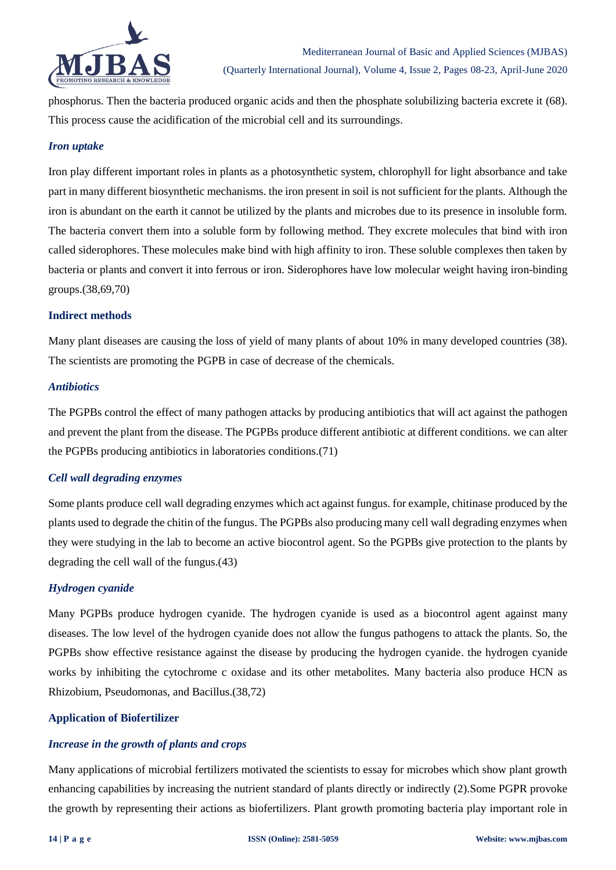

phosphorus. Then the bacteria produced organic acids and then the phosphate solubilizing bacteria excrete it (68). This process cause the acidification of the microbial cell and its surroundings.

# *Iron uptake*

Iron play different important roles in plants as a photosynthetic system, chlorophyll for light absorbance and take part in many different biosynthetic mechanisms. the iron present in soil is not sufficient for the plants. Although the iron is abundant on the earth it cannot be utilized by the plants and microbes due to its presence in insoluble form. The bacteria convert them into a soluble form by following method. They excrete molecules that bind with iron called siderophores. These molecules make bind with high affinity to iron. These soluble complexes then taken by bacteria or plants and convert it into ferrous or iron. Siderophores have low molecular weight having iron-binding groups.(38,69,70)

#### **Indirect methods**

Many plant diseases are causing the loss of yield of many plants of about 10% in many developed countries (38). The scientists are promoting the PGPB in case of decrease of the chemicals.

#### *Antibiotics*

The PGPBs control the effect of many pathogen attacks by producing antibiotics that will act against the pathogen and prevent the plant from the disease. The PGPBs produce different antibiotic at different conditions. we can alter the PGPBs producing antibiotics in laboratories conditions.(71)

# *Cell wall degrading enzymes*

Some plants produce cell wall degrading enzymes which act against fungus. for example, chitinase produced by the plants used to degrade the chitin of the fungus. The PGPBs also producing many cell wall degrading enzymes when they were studying in the lab to become an active biocontrol agent. So the PGPBs give protection to the plants by degrading the cell wall of the fungus.(43)

# *Hydrogen cyanide*

Many PGPBs produce hydrogen cyanide. The hydrogen cyanide is used as a biocontrol agent against many diseases. The low level of the hydrogen cyanide does not allow the fungus pathogens to attack the plants. So, the PGPBs show effective resistance against the disease by producing the hydrogen cyanide. the hydrogen cyanide works by inhibiting the cytochrome c oxidase and its other metabolites. Many bacteria also produce HCN as Rhizobium, Pseudomonas, and Bacillus.(38,72)

# **Application of Biofertilizer**

# *Increase in the growth of plants and crops*

Many applications of microbial fertilizers motivated the scientists to essay for microbes which show plant growth enhancing capabilities by increasing the nutrient standard of plants directly or indirectly (2).Some PGPR provoke the growth by representing their actions as biofertilizers. Plant growth promoting bacteria play important role in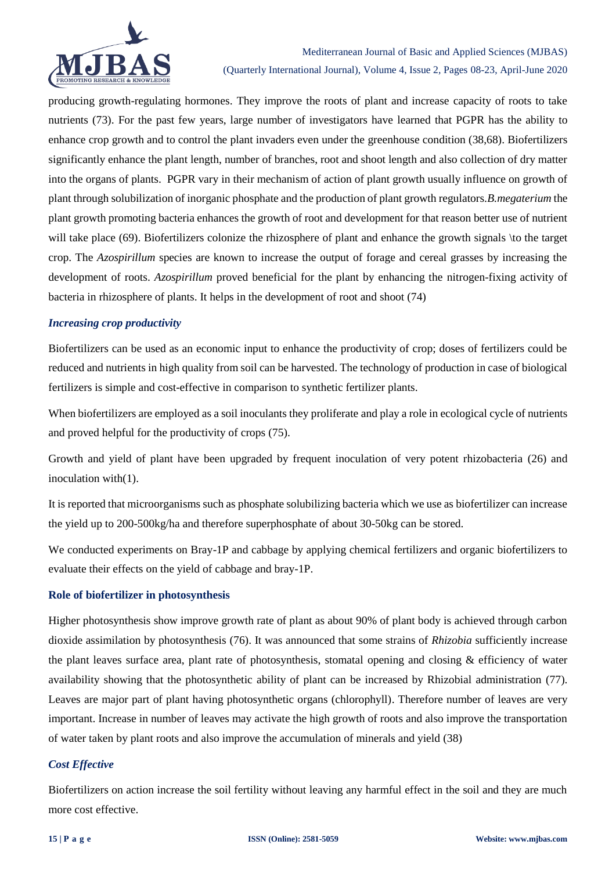

# Mediterranean Journal of Basic and Applied Sciences (MJBAS) (Quarterly International Journal), Volume 4, Issue 2, Pages 08-23, April-June 2020

producing growth-regulating hormones. They improve the roots of plant and increase capacity of roots to take nutrients (73). For the past few years, large number of investigators have learned that PGPR has the ability to enhance crop growth and to control the plant invaders even under the greenhouse condition (38,68). Biofertilizers significantly enhance the plant length, number of branches, root and shoot length and also collection of dry matter into the organs of plants. PGPR vary in their mechanism of action of plant growth usually influence on growth of plant through solubilization of inorganic phosphate and the production of plant growth regulators.*B.megaterium* the plant growth promoting bacteria enhances the growth of root and development for that reason better use of nutrient will take place (69). Biofertilizers colonize the rhizosphere of plant and enhance the growth signals \to the target crop. The *Azospirillum* species are known to increase the output of forage and cereal grasses by increasing the development of roots. *Azospirillum* proved beneficial for the plant by enhancing the nitrogen-fixing activity of bacteria in rhizosphere of plants. It helps in the development of root and shoot (74)

# *Increasing crop productivity*

Biofertilizers can be used as an economic input to enhance the productivity of crop; doses of fertilizers could be reduced and nutrients in high quality from soil can be harvested. The technology of production in case of biological fertilizers is simple and cost-effective in comparison to synthetic fertilizer plants.

When biofertilizers are employed as a soil inoculants they proliferate and play a role in ecological cycle of nutrients and proved helpful for the productivity of crops (75).

Growth and yield of plant have been upgraded by frequent inoculation of very potent rhizobacteria (26) and inoculation with(1).

It is reported that microorganisms such as phosphate solubilizing bacteria which we use as biofertilizer can increase the yield up to 200-500kg/ha and therefore superphosphate of about 30-50kg can be stored.

We conducted experiments on Bray-1P and cabbage by applying chemical fertilizers and organic biofertilizers to evaluate their effects on the yield of cabbage and bray-1P.

# **Role of biofertilizer in photosynthesis**

Higher photosynthesis show improve growth rate of plant as about 90% of plant body is achieved through carbon dioxide assimilation by photosynthesis (76). It was announced that some strains of *Rhizobia* sufficiently increase the plant leaves surface area, plant rate of photosynthesis, stomatal opening and closing & efficiency of water availability showing that the photosynthetic ability of plant can be increased by Rhizobial administration (77). Leaves are major part of plant having photosynthetic organs (chlorophyll). Therefore number of leaves are very important. Increase in number of leaves may activate the high growth of roots and also improve the transportation of water taken by plant roots and also improve the accumulation of minerals and yield (38)

# *Cost Effective*

Biofertilizers on action increase the soil fertility without leaving any harmful effect in the soil and they are much more cost effective.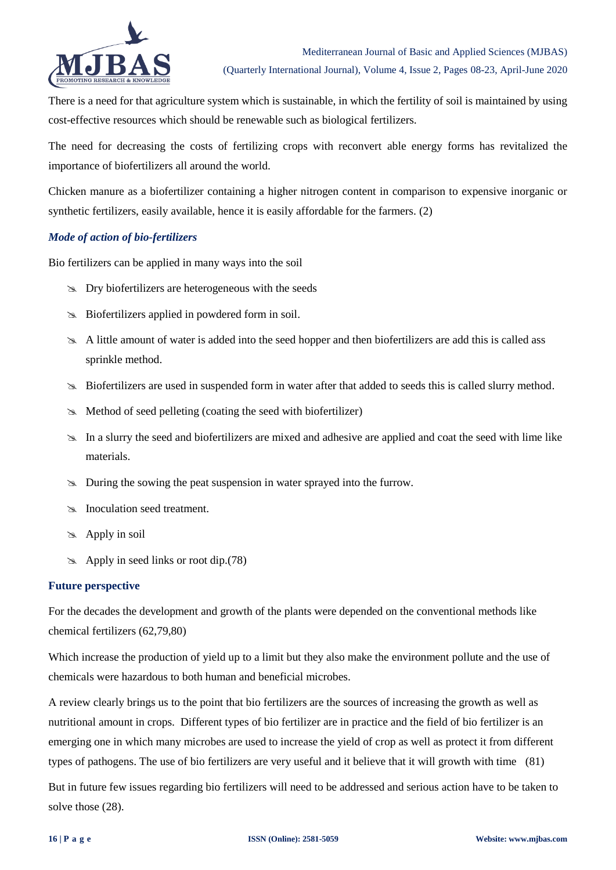

There is a need for that agriculture system which is sustainable, in which the fertility of soil is maintained by using cost-effective resources which should be renewable such as biological fertilizers.

The need for decreasing the costs of fertilizing crops with reconvert able energy forms has revitalized the importance of biofertilizers all around the world.

Chicken manure as a biofertilizer containing a higher nitrogen content in comparison to expensive inorganic or synthetic fertilizers, easily available, hence it is easily affordable for the farmers. (2)

# *Mode of action of bio-fertilizers*

Bio fertilizers can be applied in many ways into the soil

- $\infty$  Dry biofertilizers are heterogeneous with the seeds
- Biofertilizers applied in powdered form in soil.
- A little amount of water is added into the seed hopper and then biofertilizers are add this is called ass sprinkle method.
- Biofertilizers are used in suspended form in water after that added to seeds this is called slurry method.
- Method of seed pelleting (coating the seed with biofertilizer)
- In a slurry the seed and biofertilizers are mixed and adhesive are applied and coat the seed with lime like materials.
- During the sowing the peat suspension in water sprayed into the furrow.
- **Inoculation seed treatment.**
- $\gg$  Apply in soil
- $\approx$  Apply in seed links or root dip.(78)

# **Future perspective**

For the decades the development and growth of the plants were depended on the conventional methods like chemical fertilizers (62,79,80)

Which increase the production of yield up to a limit but they also make the environment pollute and the use of chemicals were hazardous to both human and beneficial microbes.

A review clearly brings us to the point that bio fertilizers are the sources of increasing the growth as well as nutritional amount in crops. Different types of bio fertilizer are in practice and the field of bio fertilizer is an emerging one in which many microbes are used to increase the yield of crop as well as protect it from different types of pathogens. The use of bio fertilizers are very useful and it believe that it will growth with time (81)

But in future few issues regarding bio fertilizers will need to be addressed and serious action have to be taken to solve those (28).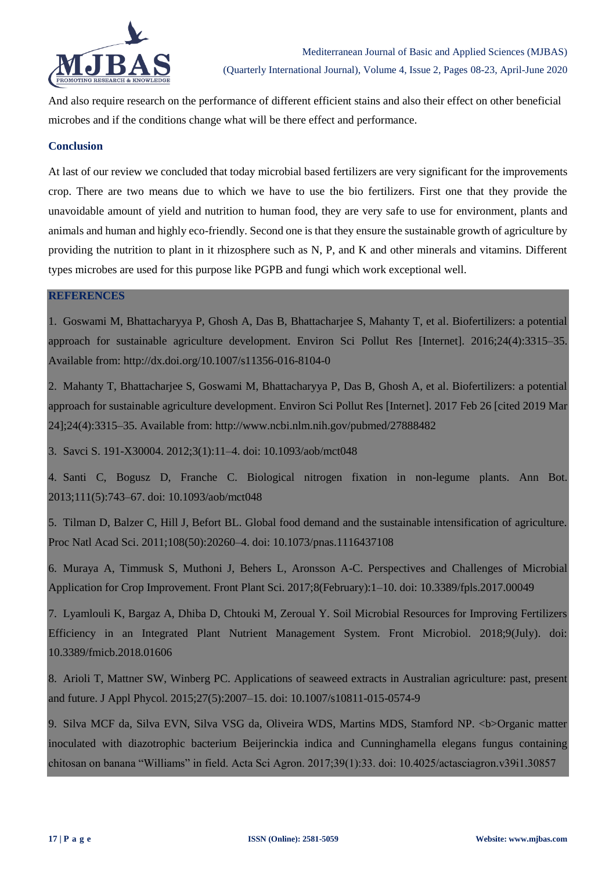

And also require research on the performance of different efficient stains and also their effect on other beneficial microbes and if the conditions change what will be there effect and performance.

# **Conclusion**

At last of our review we concluded that today microbial based fertilizers are very significant for the improvements crop. There are two means due to which we have to use the bio fertilizers. First one that they provide the unavoidable amount of yield and nutrition to human food, they are very safe to use for environment, plants and animals and human and highly eco-friendly. Second one is that they ensure the sustainable growth of agriculture by providing the nutrition to plant in it rhizosphere such as N, P, and K and other minerals and vitamins. Different types microbes are used for this purpose like PGPB and fungi which work exceptional well.

# **REFERENCES**

1. Goswami M, Bhattacharyya P, Ghosh A, Das B, Bhattacharjee S, Mahanty T, et al. Biofertilizers: a potential approach for sustainable agriculture development. Environ Sci Pollut Res [Internet]. 2016;24(4):3315–35. Available from: http://dx.doi.org/10.1007/s11356-016-8104-0

2. Mahanty T, Bhattacharjee S, Goswami M, Bhattacharyya P, Das B, Ghosh A, et al. Biofertilizers: a potential approach for sustainable agriculture development. Environ Sci Pollut Res [Internet]. 2017 Feb 26 [cited 2019 Mar 24];24(4):3315–35. Available from: http://www.ncbi.nlm.nih.gov/pubmed/27888482

3. Savci S. 191-X30004. 2012;3(1):11–4. doi: 10.1093/aob/mct048

4. Santi C, Bogusz D, Franche C. Biological nitrogen fixation in non-legume plants. Ann Bot. 2013;111(5):743–67. doi: 10.1093/aob/mct048

5. Tilman D, Balzer C, Hill J, Befort BL. Global food demand and the sustainable intensification of agriculture. Proc Natl Acad Sci. 2011;108(50):20260–4. doi: 10.1073/pnas.1116437108

6. Muraya A, Timmusk S, Muthoni J, Behers L, Aronsson A-C. Perspectives and Challenges of Microbial Application for Crop Improvement. Front Plant Sci. 2017;8(February):1–10. doi: 10.3389/fpls.2017.00049

7. Lyamlouli K, Bargaz A, Dhiba D, Chtouki M, Zeroual Y. Soil Microbial Resources for Improving Fertilizers Efficiency in an Integrated Plant Nutrient Management System. Front Microbiol. 2018;9(July). doi: 10.3389/fmicb.2018.01606

8. Arioli T, Mattner SW, Winberg PC. Applications of seaweed extracts in Australian agriculture: past, present and future. J Appl Phycol. 2015;27(5):2007–15. doi: 10.1007/s10811-015-0574-9

9. Silva MCF da, Silva EVN, Silva VSG da, Oliveira WDS, Martins MDS, Stamford NP. <br/>b>Organic matter inoculated with diazotrophic bacterium Beijerinckia indica and Cunninghamella elegans fungus containing chitosan on banana "Williams" in field. Acta Sci Agron. 2017;39(1):33. doi: 10.4025/actasciagron.v39i1.30857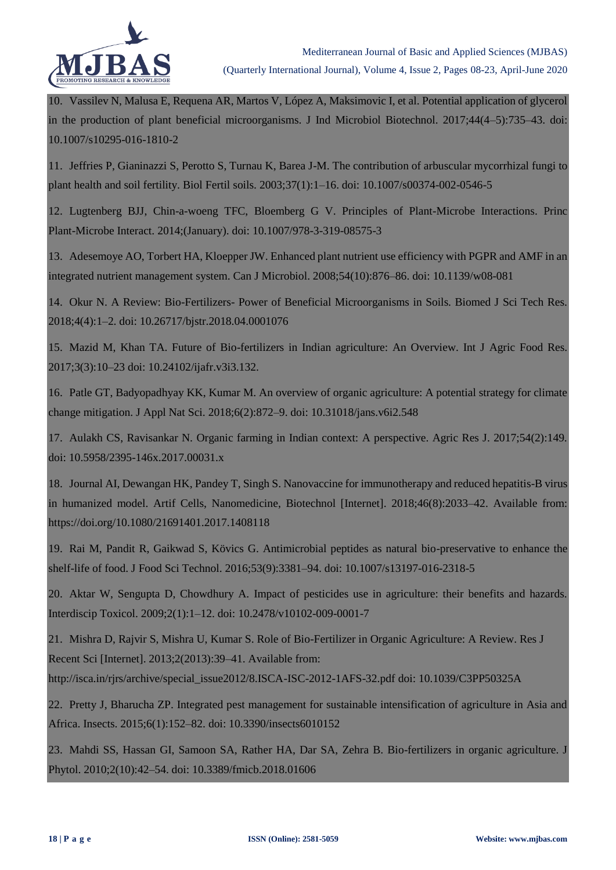

10. Vassilev N, Malusa E, Requena AR, Martos V, López A, Maksimovic I, et al. Potential application of glycerol in the production of plant beneficial microorganisms. J Ind Microbiol Biotechnol. 2017;44(4–5):735–43. doi: 10.1007/s10295-016-1810-2

11. Jeffries P, Gianinazzi S, Perotto S, Turnau K, Barea J-M. The contribution of arbuscular mycorrhizal fungi to plant health and soil fertility. Biol Fertil soils. 2003;37(1):1–16. doi: 10.1007/s00374-002-0546-5

12. Lugtenberg BJJ, Chin-a-woeng TFC, Bloemberg G V. Principles of Plant-Microbe Interactions. Princ Plant-Microbe Interact. 2014;(January). doi: 10.1007/978-3-319-08575-3

13. Adesemoye AO, Torbert HA, Kloepper JW. Enhanced plant nutrient use efficiency with PGPR and AMF in an integrated nutrient management system. Can J Microbiol. 2008;54(10):876–86. doi: 10.1139/w08-081

14. Okur N. A Review: Bio-Fertilizers- Power of Beneficial Microorganisms in Soils. Biomed J Sci Tech Res. 2018;4(4):1–2. doi: 10.26717/bjstr.2018.04.0001076

15. Mazid M, Khan TA. Future of Bio-fertilizers in Indian agriculture: An Overview. Int J Agric Food Res. 2017;3(3):10–23 doi: 10.24102/ijafr.v3i3.132.

16. Patle GT, Badyopadhyay KK, Kumar M. An overview of organic agriculture: A potential strategy for climate change mitigation. J Appl Nat Sci. 2018;6(2):872–9. doi: 10.31018/jans.v6i2.548

17. Aulakh CS, Ravisankar N. Organic farming in Indian context: A perspective. Agric Res J. 2017;54(2):149. doi: 10.5958/2395-146x.2017.00031.x

18. Journal AI, Dewangan HK, Pandey T, Singh S. Nanovaccine for immunotherapy and reduced hepatitis-B virus in humanized model. Artif Cells, Nanomedicine, Biotechnol [Internet]. 2018;46(8):2033–42. Available from: https://doi.org/10.1080/21691401.2017.1408118

19. Rai M, Pandit R, Gaikwad S, Kövics G. Antimicrobial peptides as natural bio-preservative to enhance the shelf-life of food. J Food Sci Technol. 2016;53(9):3381–94. doi: 10.1007/s13197-016-2318-5

20. Aktar W, Sengupta D, Chowdhury A. Impact of pesticides use in agriculture: their benefits and hazards. Interdiscip Toxicol. 2009;2(1):1–12. doi: 10.2478/v10102-009-0001-7

21. Mishra D, Rajvir S, Mishra U, Kumar S. Role of Bio-Fertilizer in Organic Agriculture: A Review. Res J Recent Sci [Internet]. 2013:2(2013):39–41. Available from:

http://isca.in/rjrs/archive/special\_issue2012/8.ISCA-ISC-2012-1AFS-32.pdf doi: 10.1039/C3PP50325A

22. Pretty J, Bharucha ZP. Integrated pest management for sustainable intensification of agriculture in Asia and Africa. Insects. 2015;6(1):152–82. doi: 10.3390/insects6010152

23. Mahdi SS, Hassan GI, Samoon SA, Rather HA, Dar SA, Zehra B. Bio-fertilizers in organic agriculture. J Phytol. 2010;2(10):42–54. doi: 10.3389/fmicb.2018.01606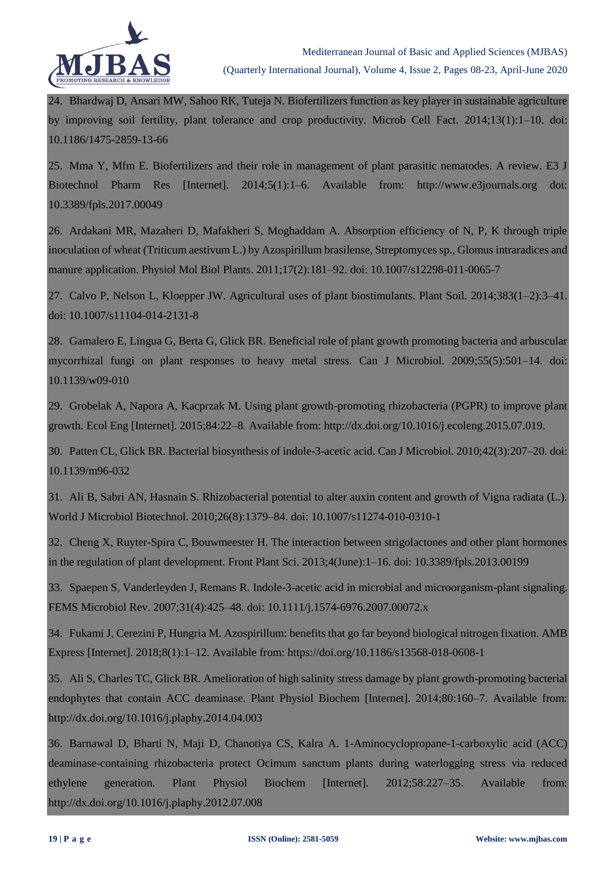

24. Bhardwaj D, Ansari MW, Sahoo RK, Tuteja N. Biofertilizers function as key player in sustainable agriculture by improving soil fertility, plant tolerance and crop productivity. Microb Cell Fact. 2014;13(1):1–10. doi: 10.1186/1475-2859-13-66

25. Mma Y, Mfm E. Biofertilizers and their role in management of plant parasitic nematodes. A review. E3 J Biotechnol Pharm Res [Internet]. 2014;5(1):1–6. Available from: http://www.e3journals.org doi: 10.3389/fpls.2017.00049

26. Ardakani MR, Mazaheri D, Mafakheri S, Moghaddam A. Absorption efficiency of N, P, K through triple inoculation of wheat (Triticum aestivum L.) by Azospirillum brasilense, Streptomyces sp., Glomus intraradices and manure application. Physiol Mol Biol Plants. 2011;17(2):181–92. doi: 10.1007/s12298-011-0065-7

27. Calvo P, Nelson L, Kloepper JW. Agricultural uses of plant biostimulants. Plant Soil. 2014;383(1–2):3–41. doi: 10.1007/s11104-014-2131-8

28. Gamalero E, Lingua G, Berta G, Glick BR. Beneficial role of plant growth promoting bacteria and arbuscular mycorrhizal fungi on plant responses to heavy metal stress. Can J Microbiol. 2009;55(5):501–14. doi: 10.1139/w09-010

29. Grobelak A, Napora A, Kacprzak M. Using plant growth-promoting rhizobacteria (PGPR) to improve plant growth. Ecol Eng [Internet]. 2015;84:22–8. Available from: http://dx.doi.org/10.1016/j.ecoleng.2015.07.019.

30. Patten CL, Glick BR. Bacterial biosynthesis of indole-3-acetic acid. Can J Microbiol. 2010;42(3):207–20. doi: 10.1139/m96-032

31. Ali B, Sabri AN, Hasnain S. Rhizobacterial potential to alter auxin content and growth of Vigna radiata (L.). World J Microbiol Biotechnol. 2010;26(8):1379–84. doi: 10.1007/s11274-010-0310-1

32. Cheng X, Ruyter-Spira C, Bouwmeester H. The interaction between strigolactones and other plant hormones in the regulation of plant development. Front Plant Sci. 2013;4(June):1–16. doi: 10.3389/fpls.2013.00199

33. Spaepen S, Vanderleyden J, Remans R. Indole-3-acetic acid in microbial and microorganism-plant signaling. FEMS Microbiol Rev. 2007;31(4):425–48. doi: 10.1111/j.1574-6976.2007.00072.x

34. Fukami J, Cerezini P, Hungria M. Azospirillum: benefits that go far beyond biological nitrogen fixation. AMB Express [Internet]. 2018;8(1):1–12. Available from: https://doi.org/10.1186/s13568-018-0608-1

35. Ali S, Charles TC, Glick BR. Amelioration of high salinity stress damage by plant growth-promoting bacterial endophytes that contain ACC deaminase. Plant Physiol Biochem [Internet]. 2014;80:160–7. Available from: http://dx.doi.org/10.1016/j.plaphy.2014.04.003

36. Barnawal D, Bharti N, Maji D, Chanotiya CS, Kalra A. 1-Aminocyclopropane-1-carboxylic acid (ACC) deaminase-containing rhizobacteria protect Ocimum sanctum plants during waterlogging stress via reduced ethylene generation. Plant Physiol Biochem [Internet]. 2012;58:227–35. Available from: http://dx.doi.org/10.1016/j.plaphy.2012.07.008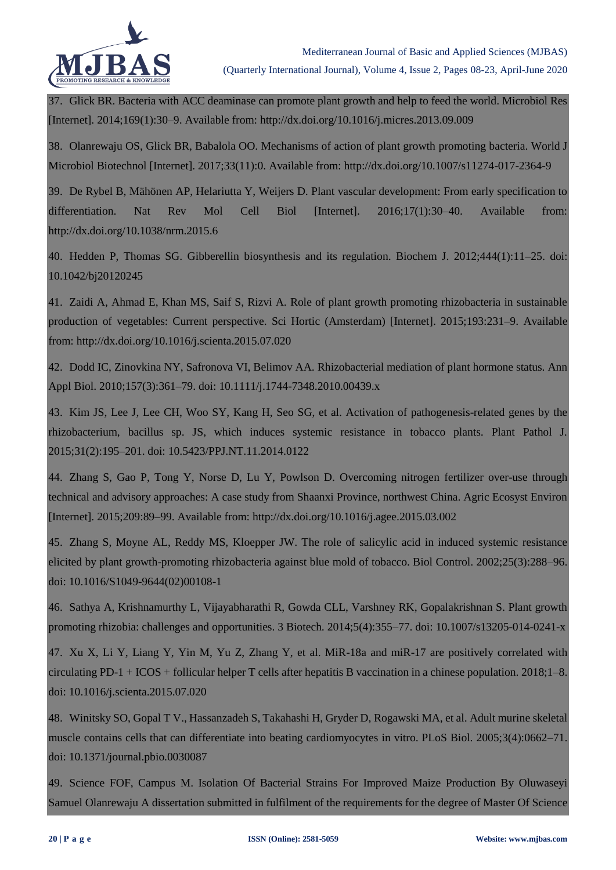

37. Glick BR. Bacteria with ACC deaminase can promote plant growth and help to feed the world. Microbiol Res [Internet]. 2014;169(1):30–9. Available from: http://dx.doi.org/10.1016/j.micres.2013.09.009

38. Olanrewaju OS, Glick BR, Babalola OO. Mechanisms of action of plant growth promoting bacteria. World J Microbiol Biotechnol [Internet]. 2017;33(11):0. Available from: http://dx.doi.org/10.1007/s11274-017-2364-9

39. De Rybel B, Mähönen AP, Helariutta Y, Weijers D. Plant vascular development: From early specification to differentiation. Nat Rev Mol Cell Biol [Internet]. 2016:17(1):30–40. Available from: http://dx.doi.org/10.1038/nrm.2015.6

40. Hedden P, Thomas SG. Gibberellin biosynthesis and its regulation. Biochem J. 2012;444(1):11–25. doi: 10.1042/bj20120245

41. Zaidi A, Ahmad E, Khan MS, Saif S, Rizvi A. Role of plant growth promoting rhizobacteria in sustainable production of vegetables: Current perspective. Sci Hortic (Amsterdam) [Internet]. 2015;193:231–9. Available from: http://dx.doi.org/10.1016/j.scienta.2015.07.020

42. Dodd IC, Zinovkina NY, Safronova VI, Belimov AA. Rhizobacterial mediation of plant hormone status. Ann Appl Biol. 2010;157(3):361–79. doi: 10.1111/j.1744-7348.2010.00439.x

43. Kim JS, Lee J, Lee CH, Woo SY, Kang H, Seo SG, et al. Activation of pathogenesis-related genes by the rhizobacterium, bacillus sp. JS, which induces systemic resistance in tobacco plants. Plant Pathol J. 2015;31(2):195–201. doi: 10.5423/PPJ.NT.11.2014.0122

44. Zhang S, Gao P, Tong Y, Norse D, Lu Y, Powlson D. Overcoming nitrogen fertilizer over-use through technical and advisory approaches: A case study from Shaanxi Province, northwest China. Agric Ecosyst Environ [Internet]. 2015;209:89–99. Available from: http://dx.doi.org/10.1016/j.agee.2015.03.002

45. Zhang S, Moyne AL, Reddy MS, Kloepper JW. The role of salicylic acid in induced systemic resistance elicited by plant growth-promoting rhizobacteria against blue mold of tobacco. Biol Control. 2002;25(3):288–96. doi: 10.1016/S1049-9644(02)00108-1

46. Sathya A, Krishnamurthy L, Vijayabharathi R, Gowda CLL, Varshney RK, Gopalakrishnan S. Plant growth promoting rhizobia: challenges and opportunities. 3 Biotech. 2014;5(4):355–77. doi: 10.1007/s13205-014-0241-x

47. Xu X, Li Y, Liang Y, Yin M, Yu Z, Zhang Y, et al. MiR-18a and miR-17 are positively correlated with circulating PD-1 + ICOS + follicular helper T cells after hepatitis B vaccination in a chinese population. 2018;1–8. doi: 10.1016/j.scienta.2015.07.020

48. Winitsky SO, Gopal T V., Hassanzadeh S, Takahashi H, Gryder D, Rogawski MA, et al. Adult murine skeletal muscle contains cells that can differentiate into beating cardiomyocytes in vitro. PLoS Biol. 2005;3(4):0662–71. doi: 10.1371/journal.pbio.0030087

49. Science FOF, Campus M. Isolation Of Bacterial Strains For Improved Maize Production By Oluwaseyi Samuel Olanrewaju A dissertation submitted in fulfilment of the requirements for the degree of Master Of Science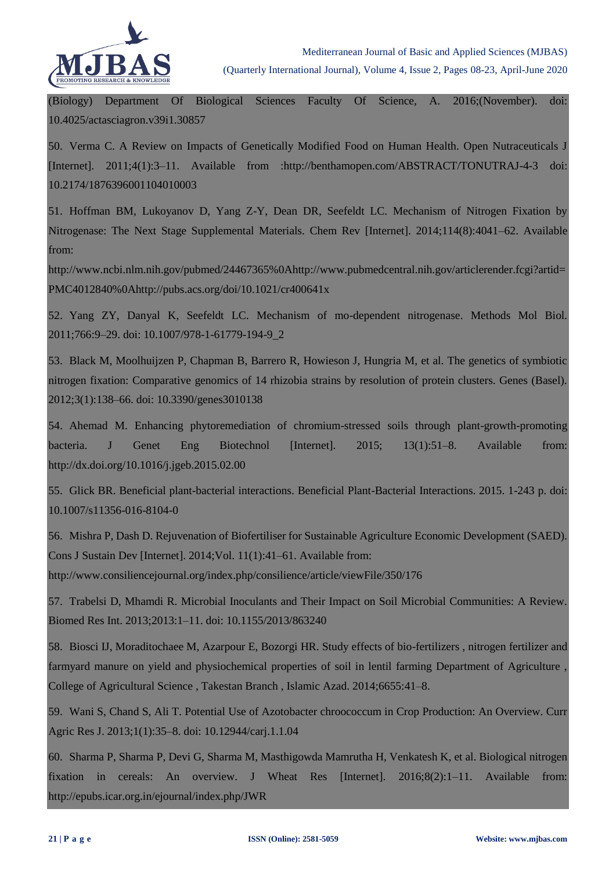

(Biology) Department Of Biological Sciences Faculty Of Science, A. 2016;(November). doi: 10.4025/actasciagron.v39i1.30857

50. Verma C. A Review on Impacts of Genetically Modified Food on Human Health. Open Nutraceuticals J [Internet]. 2011;4(1):3–11. Available from :http://benthamopen.com/ABSTRACT/TONUTRAJ-4-3 doi: 10.2174/1876396001104010003

51. Hoffman BM, Lukoyanov D, Yang Z-Y, Dean DR, Seefeldt LC. Mechanism of Nitrogen Fixation by Nitrogenase: The Next Stage Supplemental Materials. Chem Rev [Internet]. 2014;114(8):4041–62. Available from:

http://www.ncbi.nlm.nih.gov/pubmed/24467365%0Ahttp://www.pubmedcentral.nih.gov/articlerender.fcgi?artid= PMC4012840%0Ahttp://pubs.acs.org/doi/10.1021/cr400641x

52. Yang ZY, Danyal K, Seefeldt LC. Mechanism of mo-dependent nitrogenase. Methods Mol Biol. 2011;766:9–29. doi: 10.1007/978-1-61779-194-9\_2

53. Black M, Moolhuijzen P, Chapman B, Barrero R, Howieson J, Hungria M, et al. The genetics of symbiotic nitrogen fixation: Comparative genomics of 14 rhizobia strains by resolution of protein clusters. Genes (Basel). 2012;3(1):138–66. doi: 10.3390/genes3010138

54. Ahemad M. Enhancing phytoremediation of chromium-stressed soils through plant-growth-promoting bacteria. J Genet Eng Biotechnol [Internet]. 2015; 13(1):51–8. Available from: http://dx.doi.org/10.1016/j.jgeb.2015.02.00

55. Glick BR. Beneficial plant-bacterial interactions. Beneficial Plant-Bacterial Interactions. 2015. 1-243 p. doi: 10.1007/s11356-016-8104-0

56. Mishra P, Dash D. Rejuvenation of Biofertiliser for Sustainable Agriculture Economic Development (SAED). Cons J Sustain Dev [Internet]. 2014;Vol. 11(1):41–61. Available from:

http://www.consiliencejournal.org/index.php/consilience/article/viewFile/350/176

57. Trabelsi D, Mhamdi R. Microbial Inoculants and Their Impact on Soil Microbial Communities: A Review. Biomed Res Int. 2013;2013:1–11. doi: 10.1155/2013/863240

58. Biosci IJ, Moraditochaee M, Azarpour E, Bozorgi HR. Study effects of bio-fertilizers , nitrogen fertilizer and farmyard manure on yield and physiochemical properties of soil in lentil farming Department of Agriculture , College of Agricultural Science , Takestan Branch , Islamic Azad. 2014;6655:41–8.

59. Wani S, Chand S, Ali T. Potential Use of Azotobacter chroococcum in Crop Production: An Overview. Curr Agric Res J. 2013;1(1):35–8. doi: 10.12944/carj.1.1.04

60. Sharma P, Sharma P, Devi G, Sharma M, Masthigowda Mamrutha H, Venkatesh K, et al. Biological nitrogen fixation in cereals: An overview. J Wheat Res [Internet]. 2016;8(2):1–11. Available from: http://epubs.icar.org.in/ejournal/index.php/JWR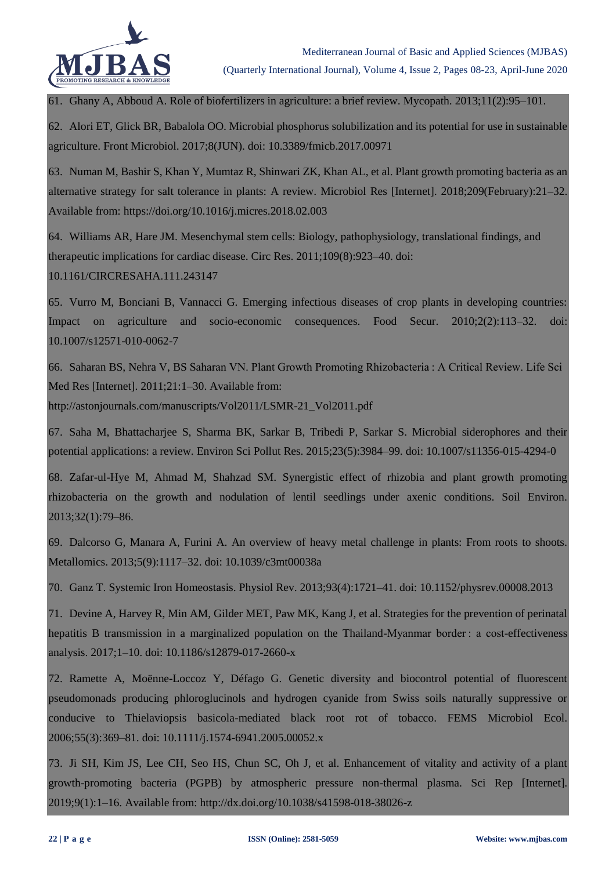

61. Ghany A, Abboud A. Role of biofertilizers in agriculture: a brief review. Mycopath. 2013;11(2):95–101.

62. Alori ET, Glick BR, Babalola OO. Microbial phosphorus solubilization and its potential for use in sustainable agriculture. Front Microbiol. 2017;8(JUN). doi: 10.3389/fmicb.2017.00971

63. Numan M, Bashir S, Khan Y, Mumtaz R, Shinwari ZK, Khan AL, et al. Plant growth promoting bacteria as an alternative strategy for salt tolerance in plants: A review. Microbiol Res [Internet]. 2018;209(February):21–32. Available from: https://doi.org/10.1016/j.micres.2018.02.003

64. Williams AR, Hare JM. Mesenchymal stem cells: Biology, pathophysiology, translational findings, and therapeutic implications for cardiac disease. Circ Res. 2011;109(8):923–40. doi: 10.1161/CIRCRESAHA.111.243147

65. Vurro M, Bonciani B, Vannacci G. Emerging infectious diseases of crop plants in developing countries: Impact on agriculture and socio-economic consequences. Food Secur. 2010;2(2):113–32. doi: 10.1007/s12571-010-0062-7

66. Saharan BS, Nehra V, BS Saharan VN. Plant Growth Promoting Rhizobacteria : A Critical Review. Life Sci Med Res [Internet]. 2011;21:1–30. Available from:

http://astonjournals.com/manuscripts/Vol2011/LSMR-21\_Vol2011.pdf

67. Saha M, Bhattacharjee S, Sharma BK, Sarkar B, Tribedi P, Sarkar S. Microbial siderophores and their potential applications: a review. Environ Sci Pollut Res. 2015;23(5):3984–99. doi: 10.1007/s11356-015-4294-0

68. Zafar-ul-Hye M, Ahmad M, Shahzad SM. Synergistic effect of rhizobia and plant growth promoting rhizobacteria on the growth and nodulation of lentil seedlings under axenic conditions. Soil Environ. 2013;32(1):79–86.

69. Dalcorso G, Manara A, Furini A. An overview of heavy metal challenge in plants: From roots to shoots. Metallomics. 2013;5(9):1117–32. doi: 10.1039/c3mt00038a

70. Ganz T. Systemic Iron Homeostasis. Physiol Rev. 2013;93(4):1721–41. doi: 10.1152/physrev.00008.2013

71. Devine A, Harvey R, Min AM, Gilder MET, Paw MK, Kang J, et al. Strategies for the prevention of perinatal hepatitis B transmission in a marginalized population on the Thailand-Myanmar border : a cost-effectiveness analysis. 2017;1–10. doi: 10.1186/s12879-017-2660-x

72. Ramette A, Moënne-Loccoz Y, Défago G. Genetic diversity and biocontrol potential of fluorescent pseudomonads producing phloroglucinols and hydrogen cyanide from Swiss soils naturally suppressive or conducive to Thielaviopsis basicola-mediated black root rot of tobacco. FEMS Microbiol Ecol. 2006;55(3):369–81. doi: 10.1111/j.1574-6941.2005.00052.x

73. Ji SH, Kim JS, Lee CH, Seo HS, Chun SC, Oh J, et al. Enhancement of vitality and activity of a plant growth-promoting bacteria (PGPB) by atmospheric pressure non-thermal plasma. Sci Rep [Internet]. 2019;9(1):1–16. Available from: http://dx.doi.org/10.1038/s41598-018-38026-z